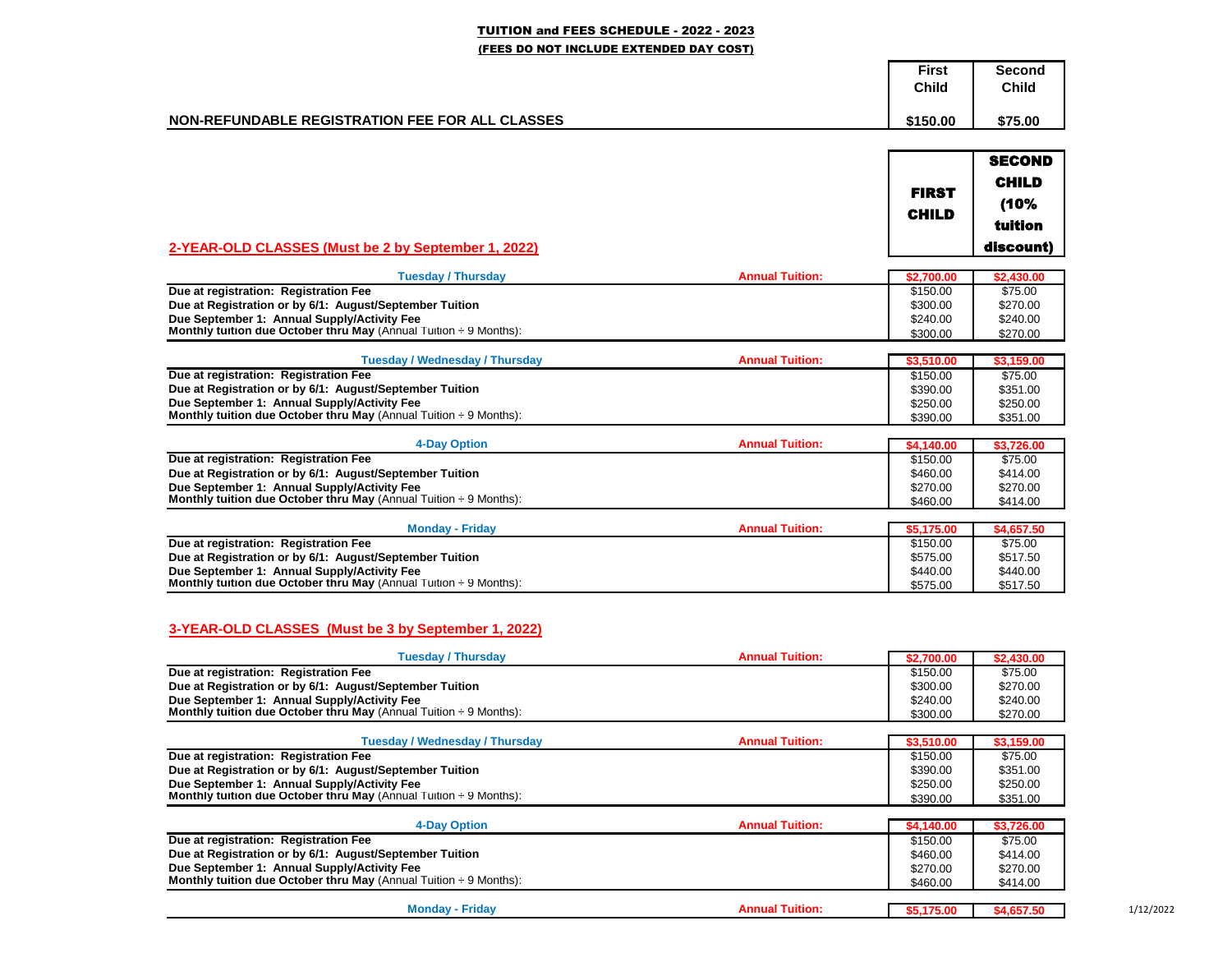## TUITION and FEES SCHEDULE - 2022 - 2023 (FEES DO NOT INCLUDE EXTENDED DAY COST)

|                                                 | <b>First</b><br>Child | Second<br><b>Child</b> |
|-------------------------------------------------|-----------------------|------------------------|
| NON-REFUNDABLE REGISTRATION FEE FOR ALL CLASSES | \$150.00              | \$75.00                |

| 2-YEAR-OLD CLASSES (Must be 2 by September 1, 2022)                                                                                                                                                                              |                        | <b>FIRST</b><br><b>CHILD</b>                         | <b>SECOND</b><br><b>CHILD</b><br>(10%<br>tuition<br>discount) |
|----------------------------------------------------------------------------------------------------------------------------------------------------------------------------------------------------------------------------------|------------------------|------------------------------------------------------|---------------------------------------------------------------|
| <b>Tuesday / Thursday</b>                                                                                                                                                                                                        | <b>Annual Tuition:</b> | \$2,700.00                                           | \$2,430.00                                                    |
| Due at registration: Registration Fee<br>Due at Registration or by 6/1: August/September Tuition<br>Due September 1: Annual Supply/Activity Fee<br>Monthly tuition due October thru May (Annual Tuition ÷ 9 Months):             |                        | $\sqrt{$150.00}$<br>\$300.00<br>\$240.00<br>\$300.00 | \$75.00<br>\$270.00<br>\$240.00<br>\$270.00                   |
| <b>Tuesday / Wednesday / Thursday</b>                                                                                                                                                                                            | <b>Annual Tuition:</b> | \$3,510.00                                           | \$3.159.00                                                    |
| Due at registration: Registration Fee<br>Due at Registration or by 6/1: August/September Tuition<br>Due September 1: Annual Supply/Activity Fee<br><b>Monthly tuition due October thru May</b> (Annual Tuition $\div$ 9 Months): |                        | \$150.00<br>\$390.00<br>\$250.00<br>\$390.00         | \$75.00<br>\$351.00<br>\$250.00<br>\$351.00                   |
| <b>4-Day Option</b>                                                                                                                                                                                                              | <b>Annual Tuition:</b> | \$4,140.00                                           | \$3,726.00                                                    |
| Due at registration: Registration Fee<br>Due at Registration or by 6/1: August/September Tuition<br>Due September 1: Annual Supply/Activity Fee<br>Monthly tuition due October thru May (Annual Tuition $\div$ 9 Months):        |                        | \$150.00<br>\$460.00<br>\$270.00<br>\$460.00         | \$75.00<br>\$414.00<br>\$270.00<br>\$414.00                   |
| <b>Monday - Friday</b>                                                                                                                                                                                                           | <b>Annual Tuition:</b> | \$5,175.00                                           | \$4,657.50                                                    |
| Due at registration: Registration Fee<br>Due at Registration or by 6/1: August/September Tuition<br>Due September 1: Annual Supply/Activity Fee<br>Monthly tuition due October thru May (Annual Tuition $\div$ 9 Months):        |                        | \$150.00<br>\$575.00<br>\$440.00<br>\$575.00         | \$75.00<br>\$517.50<br>\$440.00<br>\$517.50                   |
| 3-YEAR-OLD CLASSES (Must be 3 by September 1, 2022)                                                                                                                                                                              |                        |                                                      |                                                               |
| <b>Tuesday / Thursday</b>                                                                                                                                                                                                        | <b>Annual Tuition:</b> | \$2,700.00                                           | \$2,430.00                                                    |
| Due at registration: Registration Fee<br>Due at Registration or by 6/1: August/September Tuition<br>Due September 1: Annual Supply/Activity Fee<br><b>Monthly tuition due October thru May</b> (Annual Tuition $\div$ 9 Months): |                        | \$150.00<br>\$300.00<br>\$240.00<br>\$300.00         | \$75.00<br>\$270.00<br>\$240.00<br>\$270.00                   |

| Tuesdav / Wednesdav / Thursdav                                                | <b>Annual Tuition:</b> | \$3,510.00 | \$3.159.00 |
|-------------------------------------------------------------------------------|------------------------|------------|------------|
| Due at registration: Registration Fee                                         |                        | \$150.00   | \$75.00    |
| Due at Registration or by 6/1: August/September Tuition                       |                        | \$390.00   | \$351.00   |
| Due September 1: Annual Supply/Activity Fee                                   |                        | \$250.00   | \$250.00   |
| <b>Monthly tuition due October thru May</b> (Annual Tuition $\div$ 9 Months): |                        | \$390.00   | \$351.00   |
|                                                                               |                        |            |            |
| 4-Day Option                                                                  | <b>Annual Tuition:</b> | \$4,140,00 | \$3.726.00 |
| Due at registration: Registration Fee                                         |                        | \$150.00   | \$75.00    |
| Due at Registration or by 6/1: August/September Tuition                       |                        | \$460.00   | \$414.00   |

**Due September 1: Annual Supply/Activity Fee** \$270.00 \$270.00 \$270.00 \$270.00 \$270.00 \$414.00<br> **Monthly tuition due October thru May** (Annual Tuition ÷ 9 Months): \$460.00 \$414.00 \$414.00 \$414.00

**Annual Tuition: \$5,175.00 \$4,657.50 \$4,657.50** 

|  |  | 1/12/2022 |
|--|--|-----------|
|--|--|-----------|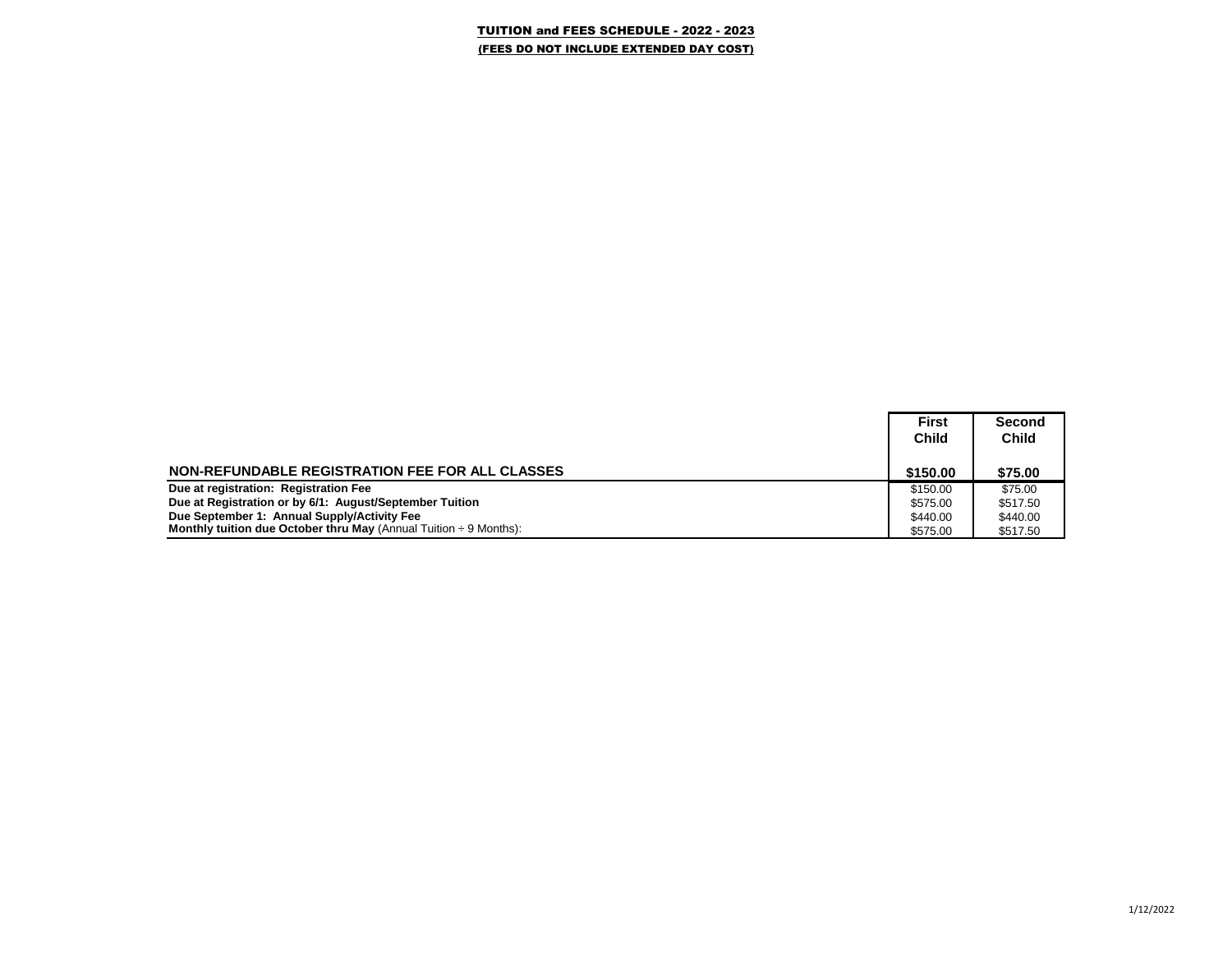## TUITION and FEES SCHEDULE - 2022 - 2023 (FEES DO NOT INCLUDE EXTENDED DAY COST)

|                                                                               | <b>First</b> | Second       |
|-------------------------------------------------------------------------------|--------------|--------------|
|                                                                               | <b>Child</b> | <b>Child</b> |
|                                                                               |              |              |
| NON-REFUNDABLE REGISTRATION FEE FOR ALL CLASSES                               | \$150.00     | \$75.00      |
| Due at registration: Registration Fee                                         | \$150.00     | \$75.00      |
| Due at Registration or by 6/1: August/September Tuition                       | \$575.00     | \$517.50     |
| Due September 1: Annual Supply/Activity Fee                                   | \$440.00     | \$440.00     |
| <b>Monthly tuition due October thru May</b> (Annual Tuition $\div$ 9 Months): | \$575.00     | \$517.50     |